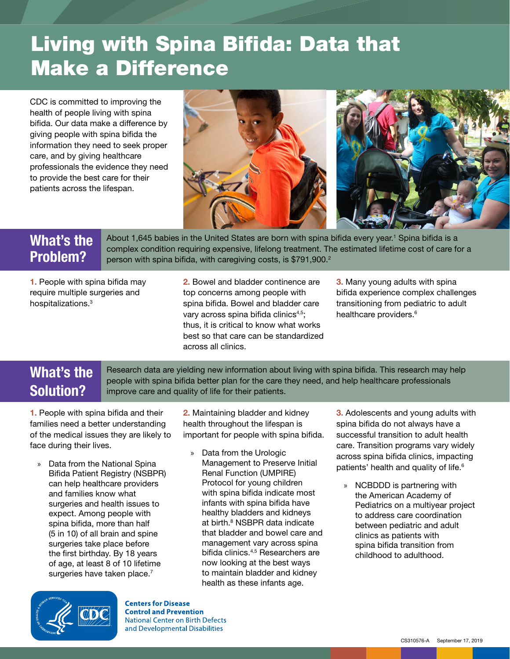## Living with Spina Bifida: Data that Make a Difference

CDC is committed to improving the health of people living with spina bifida. Our data make a difference by giving people with spina bifida the information they need to seek proper care, and by giving healthcare professionals the evidence they need to provide the best care for their patients across the lifespan.



## What's the Problem?

About 1,645 babies in the United States are born with spina bifida every year.<sup>1</sup> Spina bifida is a complex condition requiring expensive, lifelong treatment. The estimated lifetime cost of care for a person with spina bifida, with caregiving costs, is  $$791,900.<sup>2</sup>$ 

1. People with spina bifida may require multiple surgeries and hospitalizations.<sup>3</sup>

2. Bowel and bladder continence are top concerns among people with spina bifida. Bowel and bladder care vary across spina bifida clinics<sup>4,5</sup>; thus, it is critical to know what works best so that care can be standardized across all clinics.

3. Many young adults with spina bifida experience complex challenges transitioning from pediatric to adult healthcare providers.<sup>6</sup>

## What's the Solution?

Research data are yielding new information about living with spina bifida. This research may help people with spina bifida better plan for the care they need, and help healthcare professionals improve care and quality of life for their patients.

1. People with spina bifida and their families need a better understanding of the medical issues they are likely to face during their lives.

» Data from the National Spina Bifida Patient Registry (NSBPR) can help healthcare providers and families know what surgeries and health issues to expect. Among people with spina bifida, more than half (5 in 10) of all brain and spine surgeries take place before the first birthday. By 18 years of age, at least 8 of 10 lifetime surgeries have taken place.<sup>7</sup>

2. Maintaining bladder and kidney health throughout the lifespan is important for people with spina bifida.

» Data from the Urologic Management to Preserve Initial Renal Function (UMPIRE) Protocol for young children with spina bifida indicate most infants with spina bifida have healthy bladders and kidneys at birth.<sup>8</sup> NSBPR data indicate that bladder and bowel care and management vary across spina bifida clinics.4,5 Researchers are now looking at the best ways to maintain bladder and kidney health as these infants age.

**3.** Adolescents and young adults with spina bifida do not always have a successful transition to adult health care. Transition programs vary widely across spina bifida clinics, impacting patients' health and quality of life.<sup>6</sup>

» NCBDDD is partnering with the American Academy of Pediatrics on a multiyear project to address care coordination between pediatric and adult clinics as patients with spina bifida transition from childhood to adulthood.



**Centers for Disease Control and Prevention** National Center on Birth Defects and Developmental Disabilities